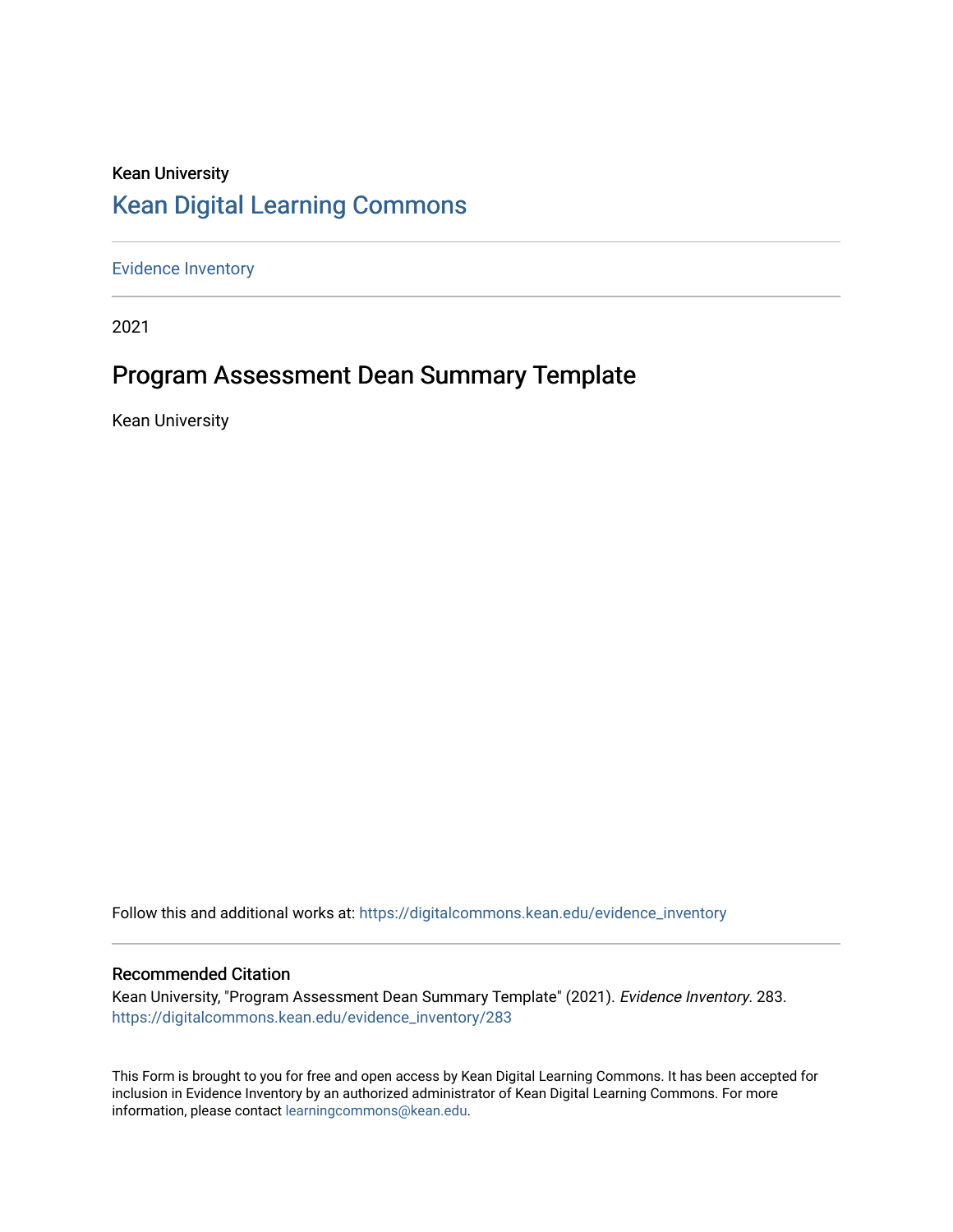### Kean University [Kean Digital Learning Commons](https://digitalcommons.kean.edu/)

[Evidence Inventory](https://digitalcommons.kean.edu/evidence_inventory) 

2021

## Program Assessment Dean Summary Template

Kean University

Follow this and additional works at: [https://digitalcommons.kean.edu/evidence\\_inventory](https://digitalcommons.kean.edu/evidence_inventory?utm_source=digitalcommons.kean.edu%2Fevidence_inventory%2F283&utm_medium=PDF&utm_campaign=PDFCoverPages)

#### Recommended Citation

Kean University, "Program Assessment Dean Summary Template" (2021). Evidence Inventory. 283. [https://digitalcommons.kean.edu/evidence\\_inventory/283](https://digitalcommons.kean.edu/evidence_inventory/283?utm_source=digitalcommons.kean.edu%2Fevidence_inventory%2F283&utm_medium=PDF&utm_campaign=PDFCoverPages)

This Form is brought to you for free and open access by Kean Digital Learning Commons. It has been accepted for inclusion in Evidence Inventory by an authorized administrator of Kean Digital Learning Commons. For more information, please contact [learningcommons@kean.edu](mailto:learningcommons@kean.edu).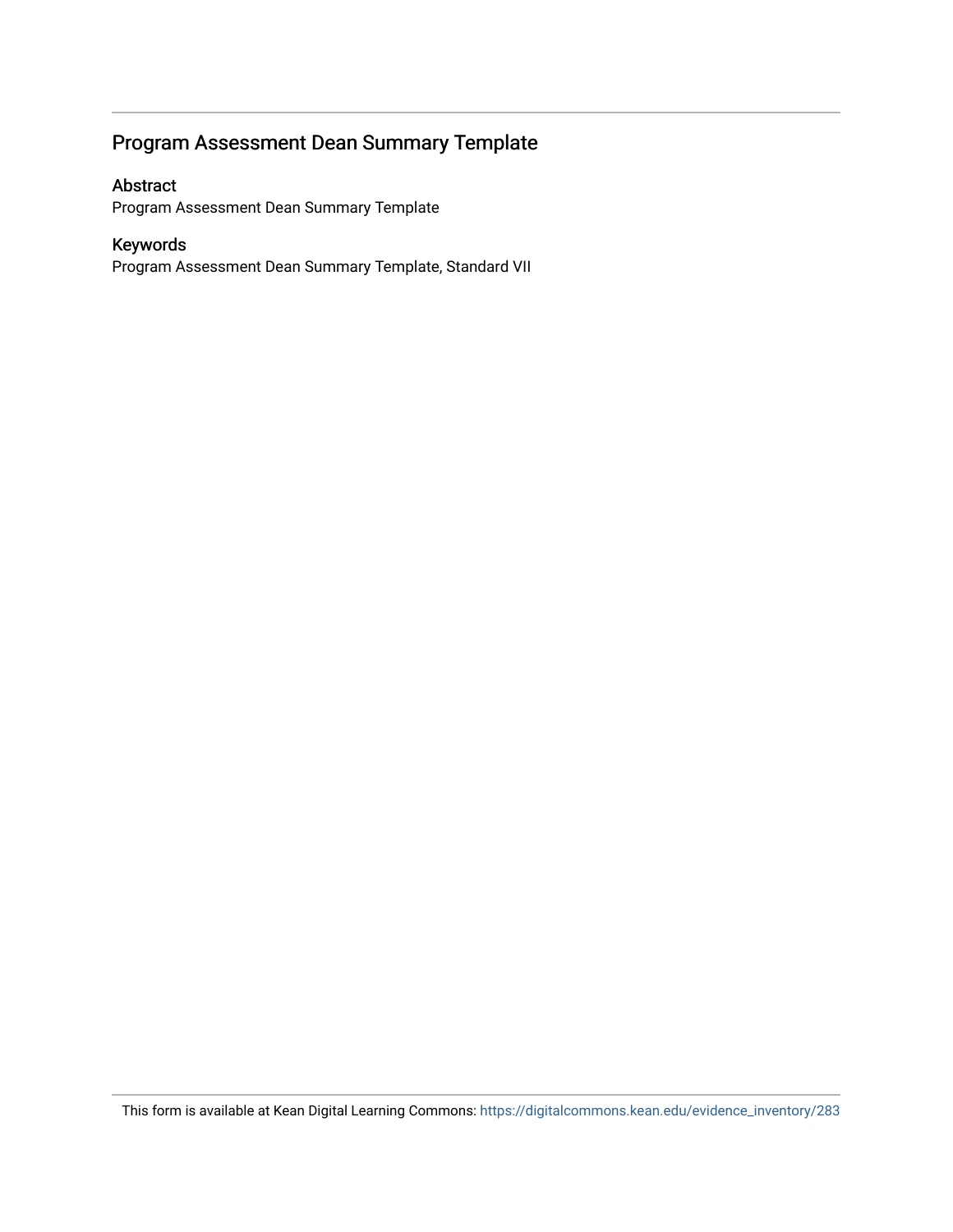### Program Assessment Dean Summary Template

#### Abstract

Program Assessment Dean Summary Template

### Keywords

Program Assessment Dean Summary Template, Standard VII

This form is available at Kean Digital Learning Commons: [https://digitalcommons.kean.edu/evidence\\_inventory/283](https://digitalcommons.kean.edu/evidence_inventory/283)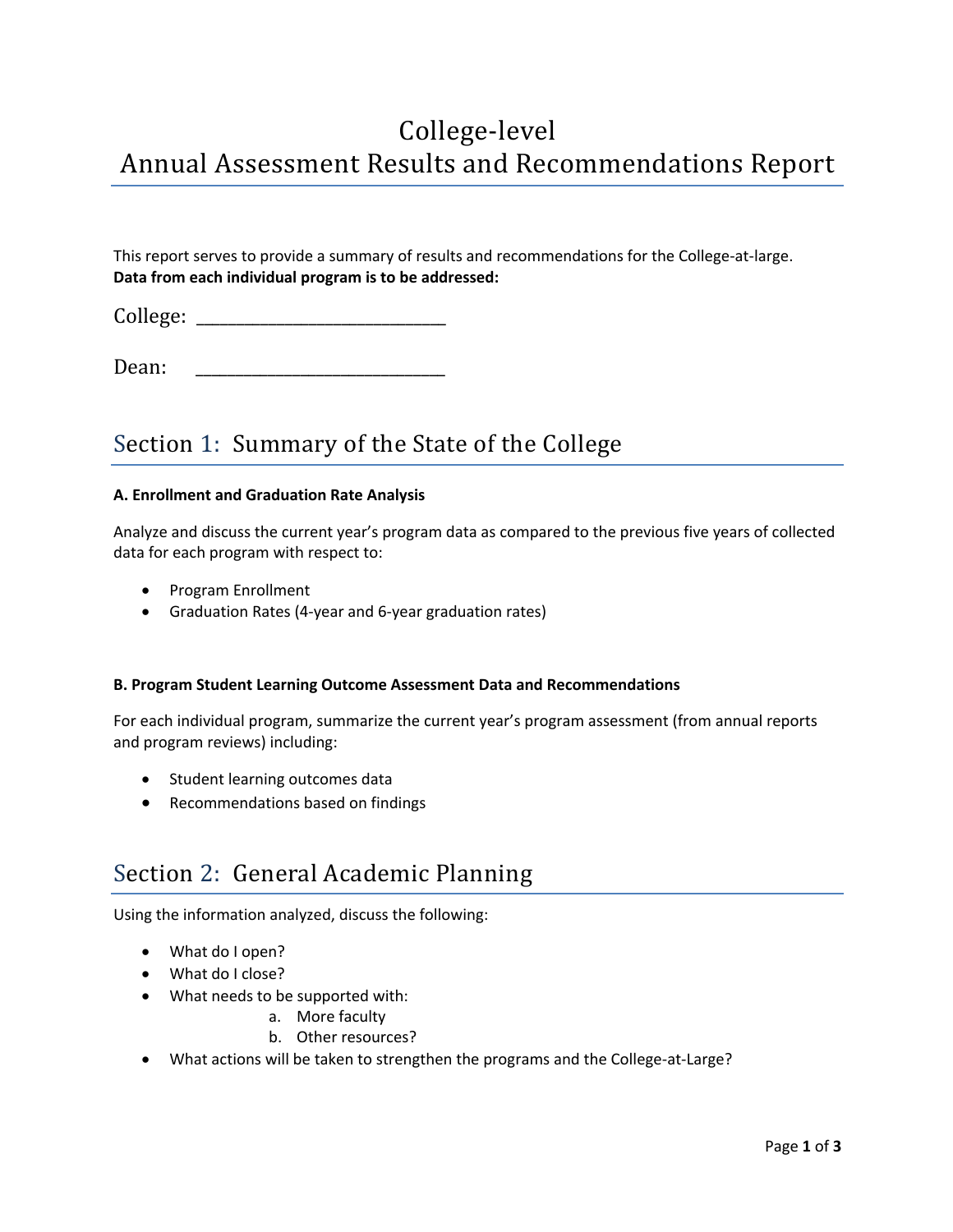## College-level Annual Assessment Results and Recommendations Report

This report serves to provide a summary of results and recommendations for the College-at-large. **Data from each individual program is to be addressed:**

College:

Dean:

### Section 1: Summary of the State of the College

#### **A. Enrollment and Graduation Rate Analysis**

Analyze and discuss the current year's program data as compared to the previous five years of collected data for each program with respect to:

- Program Enrollment
- Graduation Rates (4-year and 6-year graduation rates)

#### **B. Program Student Learning Outcome Assessment Data and Recommendations**

For each individual program, summarize the current year's program assessment (from annual reports and program reviews) including:

- Student learning outcomes data
- Recommendations based on findings

### Section 2: General Academic Planning

Using the information analyzed, discuss the following:

- What do I open?
- What do I close?
- What needs to be supported with:
	- a. More faculty
	- b. Other resources?
- What actions will be taken to strengthen the programs and the College-at-Large?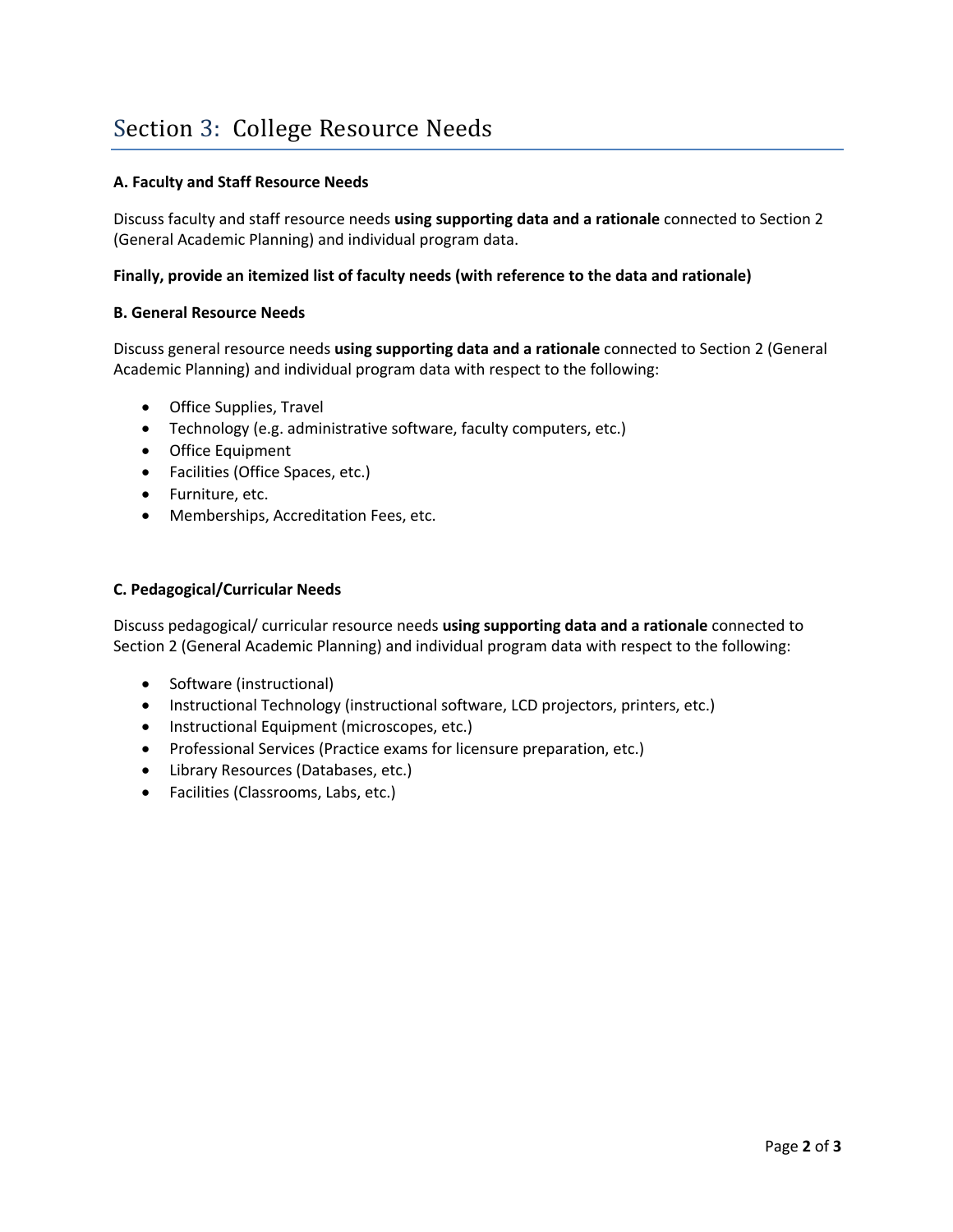#### **A. Faculty and Staff Resource Needs**

Discuss faculty and staff resource needs **using supporting data and a rationale** connected to Section 2 (General Academic Planning) and individual program data.

#### **Finally, provide an itemized list of faculty needs (with reference to the data and rationale)**

#### **B. General Resource Needs**

Discuss general resource needs **using supporting data and a rationale** connected to Section 2 (General Academic Planning) and individual program data with respect to the following:

- Office Supplies, Travel
- Technology (e.g. administrative software, faculty computers, etc.)
- Office Equipment
- Facilities (Office Spaces, etc.)
- Furniture, etc.
- Memberships, Accreditation Fees, etc.

#### **C. Pedagogical/Curricular Needs**

Discuss pedagogical/ curricular resource needs **using supporting data and a rationale** connected to Section 2 (General Academic Planning) and individual program data with respect to the following:

- Software (instructional)
- Instructional Technology (instructional software, LCD projectors, printers, etc.)
- Instructional Equipment (microscopes, etc.)
- Professional Services (Practice exams for licensure preparation, etc.)
- Library Resources (Databases, etc.)
- Facilities (Classrooms, Labs, etc.)